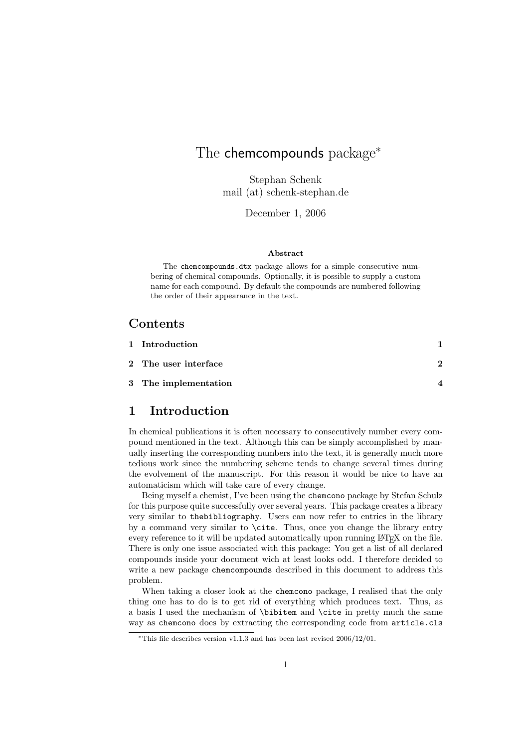## The chemcompounds package<sup>\*</sup>

Stephan Schenk mail (at) schenk-stephan.de

December 1, 2006

#### Abstract

The chemcompounds.dtx package allows for a simple consecutive numbering of chemical compounds. Optionally, it is possible to supply a custom name for each compound. By default the compounds are numbered following the order of their appearance in the text.

## Contents

| 1 Introduction       |   |
|----------------------|---|
| 2 The user interface | 2 |
| 3 The implementation |   |

## 1 Introduction

In chemical publications it is often necessary to consecutively number every compound mentioned in the text. Although this can be simply accomplished by manually inserting the corresponding numbers into the text, it is generally much more tedious work since the numbering scheme tends to change several times during the evolvement of the manuscript. For this reason it would be nice to have an automaticism which will take care of every change.

Being myself a chemist, I've been using the chemcono package by Stefan Schulz for this purpose quite successfully over several years. This package creates a library very similar to thebibliography. Users can now refer to entries in the library by a command very similar to \cite. Thus, once you change the library entry every reference to it will be updated automatically upon running L<sup>AT</sup>EX on the file. There is only one issue associated with this package: You get a list of all declared compounds inside your document wich at least looks odd. I therefore decided to write a new package chemcompounds described in this document to address this problem.

When taking a closer look at the chemcono package, I realised that the only thing one has to do is to get rid of everything which produces text. Thus, as a basis I used the mechanism of \bibitem and \cite in pretty much the same way as chemcono does by extracting the corresponding code from article.cls

<sup>∗</sup>This file describes version v1.1.3 and has been last revised 2006/12/01.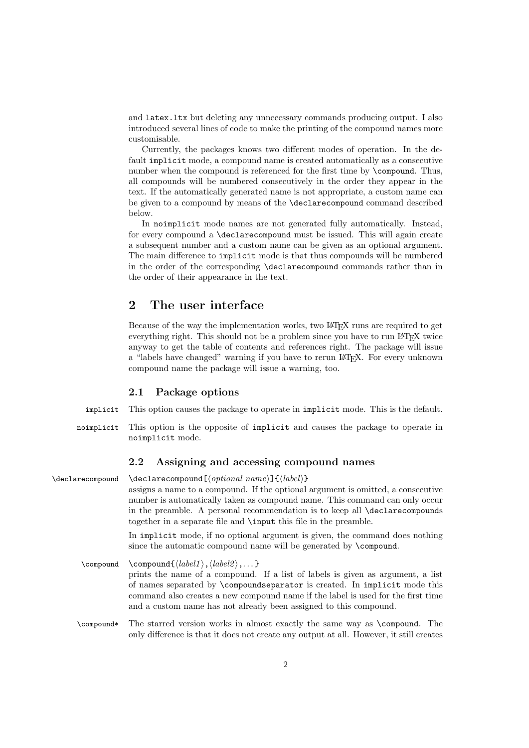and latex.ltx but deleting any unnecessary commands producing output. I also introduced several lines of code to make the printing of the compound names more customisable.

Currently, the packages knows two different modes of operation. In the default implicit mode, a compound name is created automatically as a consecutive number when the compound is referenced for the first time by \compound. Thus, all compounds will be numbered consecutively in the order they appear in the text. If the automatically generated name is not appropriate, a custom name can be given to a compound by means of the \declarecompound command described below.

In noimplicit mode names are not generated fully automatically. Instead, for every compound a \declarecompound must be issued. This will again create a subsequent number and a custom name can be given as an optional argument. The main difference to implicit mode is that thus compounds will be numbered in the order of the corresponding \declarecompound commands rather than in the order of their appearance in the text.

### 2 The user interface

Because of the way the implementation works, two LATEX runs are required to get everything right. This should not be a problem since you have to run LATEX twice anyway to get the table of contents and references right. The package will issue a "labels have changed" warning if you have to rerun LAT<sub>E</sub>X. For every unknown compound name the package will issue a warning, too.

#### 2.1 Package options

- implicit This option causes the package to operate in implicit mode. This is the default.
- noimplicit This option is the opposite of implicit and causes the package to operate in noimplicit mode.

#### 2.2 Assigning and accessing compound names

\declarecompound \declarecompound  $\{optional \ name\}$ {\label\} assigns a name to a compound. If the optional argument is omitted, a consecutive number is automatically taken as compound name. This command can only occur in the preamble. A personal recommendation is to keep all \declarecompounds together in a separate file and \input this file in the preamble.

> In implicit mode, if no optional argument is given, the command does nothing since the automatic compound name will be generated by \compound.

\compound \compound{ $\langle \label{eq:1} \langle \rangle$ ,  $\langle \text{label2} \rangle$ ,... } prints the name of a compound. If a list of labels is given as argument, a list of names separated by \compoundseparator is created. In implicit mode this command also creates a new compound name if the label is used for the first time and a custom name has not already been assigned to this compound.

\compound\* The starred version works in almost exactly the same way as \compound. The only difference is that it does not create any output at all. However, it still creates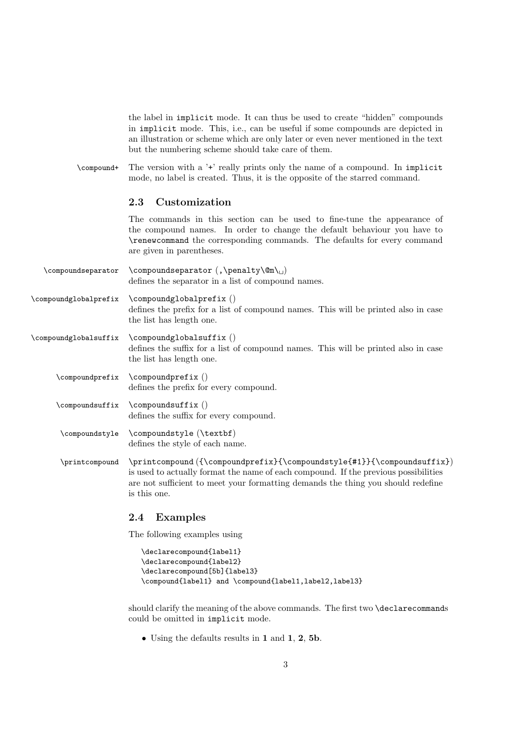the label in implicit mode. It can thus be used to create "hidden" compounds in implicit mode. This, i.e., can be useful if some compounds are depicted in an illustration or scheme which are only later or even never mentioned in the text but the numbering scheme should take care of them.

\compound+ The version with a '+' really prints only the name of a compound. In implicit mode, no label is created. Thus, it is the opposite of the starred command.

#### 2.3 Customization

The commands in this section can be used to fine-tune the appearance of the compound names. In order to change the default behaviour you have to \renewcommand the corresponding commands. The defaults for every command are given in parentheses.

 $\complement$  \compoundseparator \compoundseparator (, \penalty\@m\, ) defines the separator in a list of compound names.

\compoundglobalprefix \compoundglobalprefix () defines the prefix for a list of compound names. This will be printed also in case the list has length one.

\compoundglobalsuffix \compoundglobalsuffix () defines the suffix for a list of compound names. This will be printed also in case the list has length one.

\compoundprefix \compoundprefix () defines the prefix for every compound.

\compoundsuffix \compoundsuffix () defines the suffix for every compound.

\compoundstyle \compoundstyle (\textbf) defines the style of each name.

\printcompound \printcompound ({\compoundprefix}{\compoundstyle{#1}}{\compoundsuffix}) is used to actually format the name of each compound. If the previous possibilities are not sufficient to meet your formatting demands the thing you should redefine is this one.

#### 2.4 Examples

The following examples using

```
\declarecompound{label1}
\declarecompound{label2}
\declarecompound[5b]{label3}
\compound{label1} and \compound{label1,label2,label3}
```
should clarify the meaning of the above commands. The first two \declarecommands could be omitted in implicit mode.

• Using the defaults results in 1 and 1, 2, 5b.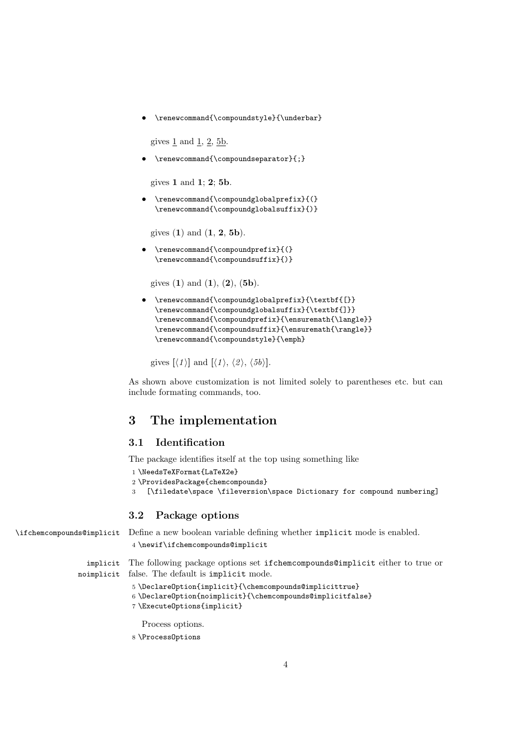\renewcommand{\compoundstyle}{\underbar}

gives  $1$  and  $1$ ,  $2$ ,  $5b$ .

\renewcommand{\compoundseparator}{;}

gives 1 and 1; 2; 5b.

• \renewcommand{\compoundglobalprefix}{(} \renewcommand{\compoundglobalsuffix}{)}

gives  $(1)$  and  $(1, 2, 5b)$ .

• \renewcommand{\compoundprefix}{(} \renewcommand{\compoundsuffix}{)}

gives  $(1)$  and  $(1)$ ,  $(2)$ ,  $(5b)$ .

```
• \renewcommand{\compoundglobalprefix}{\textbf{[}}
\renewcommand{\compoundglobalsuffix}{\textbf{]}}
\renewcommand{\compoundprefix}{\ensuremath{\langle}}
\renewcommand{\compoundsuffix}{\ensuremath{\rangle}}
\renewcommand{\compoundstyle}{\emph}
```
gives  $[\langle 1 \rangle]$  and  $[\langle 1 \rangle, \langle 2 \rangle, \langle 5b \rangle]$ .

As shown above customization is not limited solely to parentheses etc. but can include formating commands, too.

### 3 The implementation

#### 3.1 Identification

The package identifies itself at the top using something like

```
1 \NeedsTeXFormat{LaTeX2e}
```

```
2 \ProvidesPackage{chemcompounds}
```
3 [\filedate\space \fileversion\space Dictionary for compound numbering]

#### 3.2 Package options

\ifchemcompounds@implicit Define a new boolean variable defining whether implicit mode is enabled.

4 \newif\ifchemcompounds@implicit

implicit The following package options set ifchemcompounds@implicit either to true or noimplicit false. The default is implicit mode.

5 \DeclareOption{implicit}{\chemcompounds@implicittrue}

```
6 \DeclareOption{noimplicit}{\chemcompounds@implicitfalse}
```
7 \ExecuteOptions{implicit}

Process options.

8 \ProcessOptions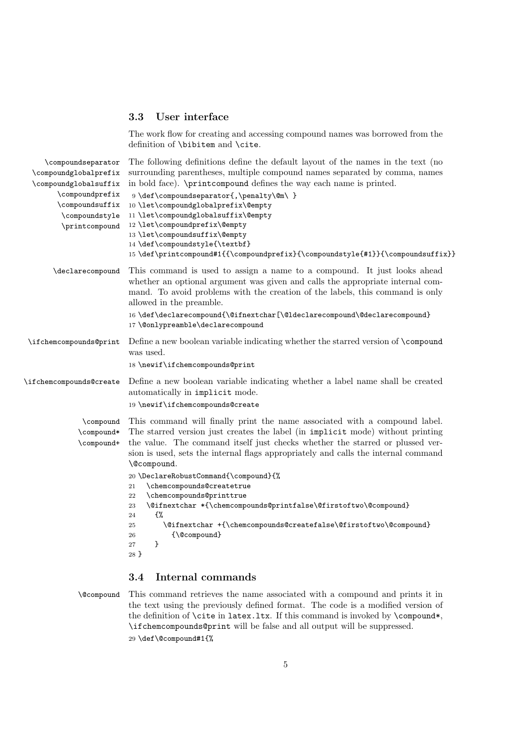#### 3.3 User interface

The work flow for creating and accessing compound names was borrowed from the definition of \bibitem and \cite.

| \compoundseparator                    | The following definitions define the default layout of the names in the text (no                                                                                                                                                                                                                                                                                                          |
|---------------------------------------|-------------------------------------------------------------------------------------------------------------------------------------------------------------------------------------------------------------------------------------------------------------------------------------------------------------------------------------------------------------------------------------------|
| \compoundglobalprefix                 | surrounding parentheses, multiple compound names separated by comma, names                                                                                                                                                                                                                                                                                                                |
| \compoundglobalsuffix                 | in bold face). \printcompound defines the way each name is printed.                                                                                                                                                                                                                                                                                                                       |
| \compoundprefix                       | 9 \def\compoundseparator{,\penalty\@m\ }                                                                                                                                                                                                                                                                                                                                                  |
| \compoundsuffix                       | 10 \let\compoundglobalprefix\@empty                                                                                                                                                                                                                                                                                                                                                       |
| \compoundstyle                        | 11 \let\compoundglobalsuffix\@empty                                                                                                                                                                                                                                                                                                                                                       |
| \printcompound                        | 12 \let\compoundprefix\@empty                                                                                                                                                                                                                                                                                                                                                             |
|                                       | 13 \let\compoundsuffix\@empty                                                                                                                                                                                                                                                                                                                                                             |
|                                       | 14 \def\compoundstyle{\textbf}                                                                                                                                                                                                                                                                                                                                                            |
|                                       | 15 \def\printcompound#1{{\compoundprefix}{\compoundstyle{#1}}{\compoundsuffix}}                                                                                                                                                                                                                                                                                                           |
| \declarecompound                      | This command is used to assign a name to a compound. It just looks ahead<br>whether an optional argument was given and calls the appropriate internal com-<br>mand. To avoid problems with the creation of the labels, this command is only<br>allowed in the preamble.<br>16 \def\declarecompound{\@ifnextchar[\@ldeclarecompound\@declarecompound}<br>17 \@onlypreamble\declarecompound |
| \ifchemcompounds@print                | Define a new boolean variable indicating whether the starred version of \compound<br>was used.                                                                                                                                                                                                                                                                                            |
|                                       | 18 \newif\ifchemcompounds@print                                                                                                                                                                                                                                                                                                                                                           |
| \ifchemcompounds@create               | Define a new boolean variable indicating whether a label name shall be created<br>automatically in implicit mode.<br>19 \newif\ifchemcompounds@create                                                                                                                                                                                                                                     |
|                                       |                                                                                                                                                                                                                                                                                                                                                                                           |
| \compound<br>\compound*<br>\compound+ | This command will finally print the name associated with a compound label.<br>The starred version just creates the label (in implicit mode) without printing<br>the value. The command itself just checks whether the starred or plussed ver-<br>sion is used, sets the internal flags appropriately and calls the internal command<br>\@compound.                                        |
|                                       | 20 \DeclareRobustCommand{\compound}{%                                                                                                                                                                                                                                                                                                                                                     |
|                                       | \chemcompounds@createtrue<br>21                                                                                                                                                                                                                                                                                                                                                           |
|                                       | \chemcompounds@printtrue<br>22                                                                                                                                                                                                                                                                                                                                                            |
|                                       | \@ifnextchar *{\chemcompounds@printfalse\@firstoftwo\@compound}<br>23                                                                                                                                                                                                                                                                                                                     |
|                                       | €%<br>24<br>\@ifnextchar +{\chemcompounds@createfalse\@firstoftwo\@compound}<br>25                                                                                                                                                                                                                                                                                                        |
|                                       | {\@compound}<br>26                                                                                                                                                                                                                                                                                                                                                                        |
|                                       | }<br>27                                                                                                                                                                                                                                                                                                                                                                                   |
|                                       | 28 }                                                                                                                                                                                                                                                                                                                                                                                      |
|                                       |                                                                                                                                                                                                                                                                                                                                                                                           |

#### 3.4 Internal commands

\@compound This command retrieves the name associated with a compound and prints it in the text using the previously defined format. The code is a modified version of the definition of \cite in latex.ltx. If this command is invoked by \compound\*, \ifchemcompounds@print will be false and all output will be suppressed. 29 \def\@compound#1{%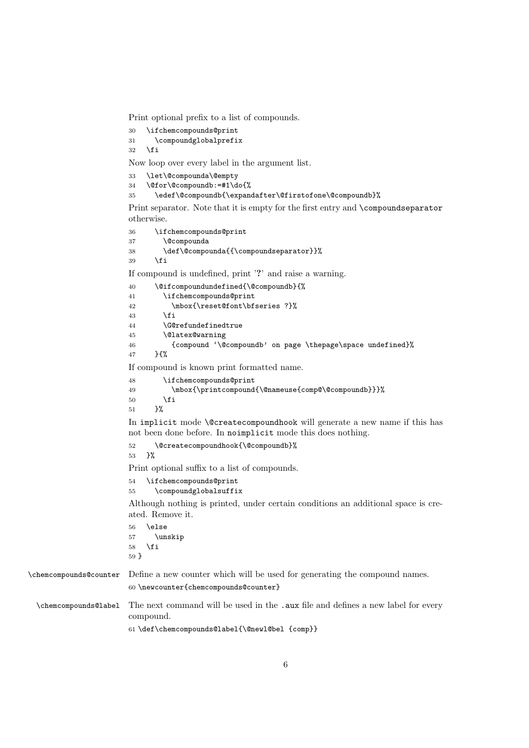Print optional prefix to a list of compounds.

```
30 \ifchemcompounds@print<br>31 \compoundglobalprefi
```

```
\compoundglobalprefix
```
 $32 \overline{1}$ 

Now loop over every label in the argument list.

```
33 \let\@compounda\@empty
```

```
34 \@for\@compoundb:=#1\do{%
```

```
35 \edef\@compoundb{\expandafter\@firstofone\@compoundb}%
```
Print separator. Note that it is empty for the first entry and \compoundseparator otherwise.

```
36 \ifchemcompounds@print
37 \@compounda
38 \def\@compounda{{\compoundseparator}}%
39 \overline{39} \fi
```
If compound is undefined, print '?' and raise a warning.

```
40 \@ifcompoundundefined{\@compoundb}{%
41 \ifchemcompounds@print
42 \mbox{\reset@font\bfseries ?}%
43 \fi
44 \G@refundefinedtrue
45 \@latex@warning
46 {compound '\@compoundb' on page \thepage\space undefined}%
47 }{%
If compound is known print formatted name.
```

```
48 \ifchemcompounds@print
49 \mbox{\printcompound{\@nameuse{comp@\@compoundb}}}%
50 \setminusfi
51 }%
```
In implicit mode \@createcompoundhook will generate a new name if this has not been done before. In noimplicit mode this does nothing.

52 \@createcompoundhook{\@compoundb}%

53 }%

Print optional suffix to a list of compounds.

```
54 \ifchemcompounds@print
55 \compoundglobalsuffix
```
Although nothing is printed, under certain conditions an additional space is created. Remove it.

56 \else 57 \unskip 58 \fi 59 }

\chemcompounds@counter Define a new counter which will be used for generating the compound names. 60 \newcounter{chemcompounds@counter}

\chemcompounds@label The next command will be used in the .aux file and defines a new label for every compound.

61 \def\chemcompounds@label{\@newl@bel {comp}}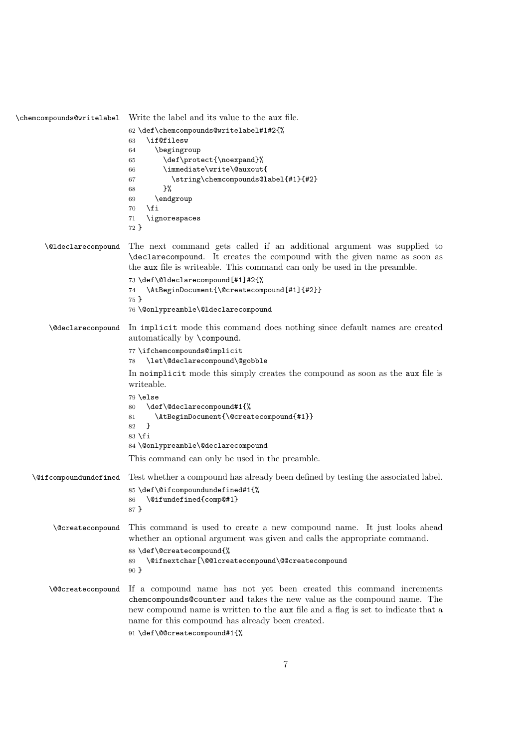\chemcompounds@writelabel Write the label and its value to the aux file. \def\chemcompounds@writelabel#1#2{% \if@filesw \begingroup \def\protect{\noexpand}% \immediate\write\@auxout{ \string\chemcompounds@label{#1}{#2} }% \endgroup 70  $\overline{f}$  \ignorespaces } \@ldeclarecompound The next command gets called if an additional argument was supplied to \declarecompound. It creates the compound with the given name as soon as the aux file is writeable. This command can only be used in the preamble. \def\@ldeclarecompound[#1]#2{% \AtBeginDocument{\@createcompound[#1]{#2}} } \@onlypreamble\@ldeclarecompound \@declarecompound In implicit mode this command does nothing since default names are created automatically by \compound. \ifchemcompounds@implicit \let\@declarecompound\@gobble In noimplicit mode this simply creates the compound as soon as the aux file is writeable. \else \def\@declarecompound#1{% \AtBeginDocument{\@createcompound{#1}} } \fi \@onlypreamble\@declarecompound This command can only be used in the preamble. \@ifcompoundundefined Test whether a compound has already been defined by testing the associated label. \def\@ifcompoundundefined#1{% \@ifundefined{comp@#1} } \@createcompound This command is used to create a new compound name. It just looks ahead whether an optional argument was given and calls the appropriate command. \def\@createcompound{% \@ifnextchar[\@@lcreatecompound\@@createcompound } \@@createcompound If a compound name has not yet been created this command increments chemcompounds@counter and takes the new value as the compound name. The new compound name is written to the aux file and a flag is set to indicate that a name for this compound has already been created. \def\@@createcompound#1{%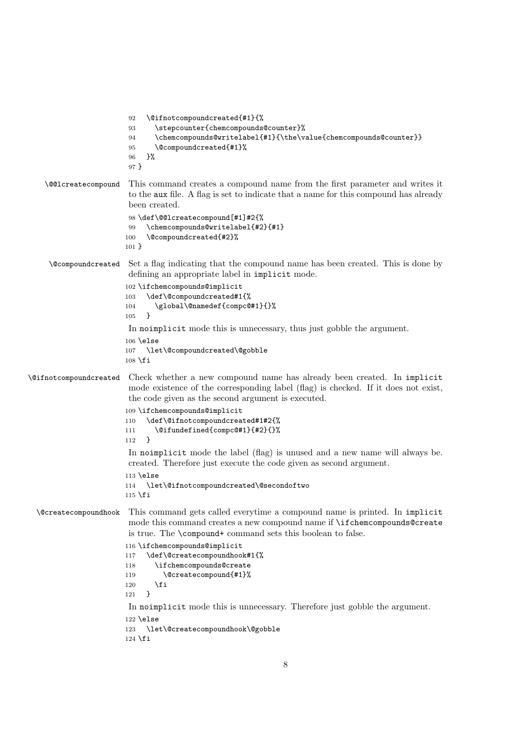```
92 \@ifnotcompoundcreated{#1}{%
                        93 \stepcounter{chemcompounds@counter}%
                        94 \chemcompounds@writelabel{#1}{\the\value{chemcompounds@counter}}
                        95 \@compoundcreated{#1}%
                        96 }%
                        97 }
    \@@lcreatecompound This command creates a compound name from the first parameter and writes it
                        to the aux file. A flag is set to indicate that a name for this compound has already
                        been created.
                        98 \def\@@lcreatecompound[#1]#2{%
                        99 \chemcompounds@writelabel{#2}{#1}
                       100 \@compoundcreated{#2}%
                       101 }
     \@compoundcreated Set a flag indicating that the compound name has been created. This is done by
                        defining an appropriate label in implicit mode.
                       102 \ifchemcompounds@implicit
                       103 \def\@compoundcreated#1{%
                       104 \global\@namedef{compc@#1}{}%
                       105 }
                        In noimplicit mode this is unnecessary, thus just gobble the argument.
                       106 \else
                       107 \let\@compoundcreated\@gobble
                       108 \text{ t}\@ifnotcompoundcreated Check whether a new compound name has already been created. In implicit
                        mode existence of the corresponding label (flag) is checked. If it does not exist,
                        the code given as the second argument is executed.
                       109 \ifchemcompounds@implicit
                       110 \def\@ifnotcompoundcreated#1#2{%
                       111 \@ifundefined{compc@#1}{#2}{}%
                       112 }
                        In noimplicit mode the label (flag) is unused and a new name will always be.
                        created. Therefore just execute the code given as second argument.
                       113 \else
                       114 \let\@ifnotcompoundcreated\@secondoftwo
                       115 \fi
 \@createcompoundhook This command gets called everytime a compound name is printed. In implicit
                        mode this command creates a new compound name if \ifchemcompounds@create
                        is true. The \compound+ command sets this boolean to false.
                       116 \ifchemcompounds@implicit
                       117 \def\@createcompoundhook#1{%
                       118 \ifchemcompounds@create
                       119 \@createcompound{#1}%
                       120 \fi
                       121 }
                        In noimplicit mode this is unnecessary. Therefore just gobble the argument.
                       122 \else
                       123 \let\@createcompoundhook\@gobble
                       124 \fi
```